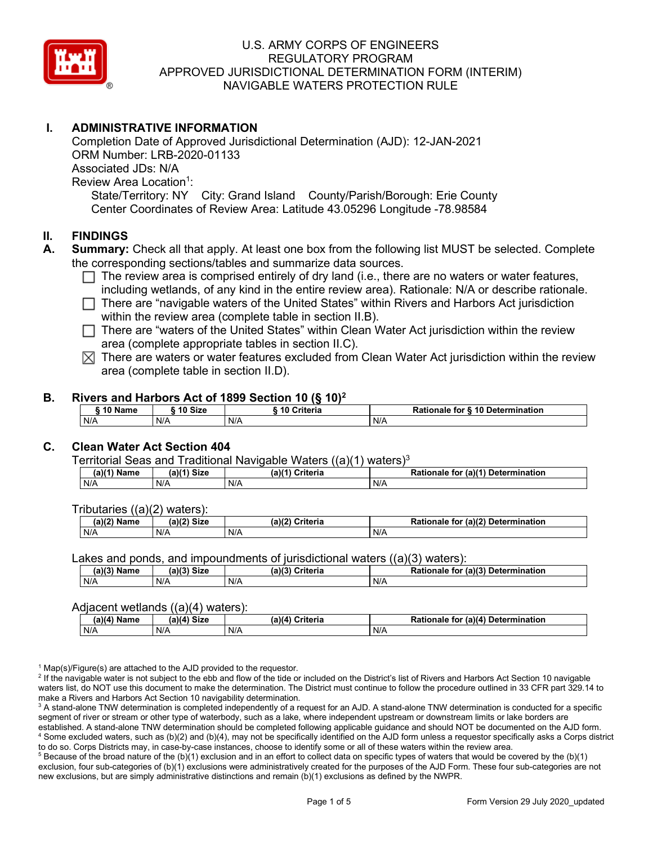

# **I. ADMINISTRATIVE INFORMATION**

Completion Date of Approved Jurisdictional Determination (AJD): 12-JAN-2021 ORM Number: LRB-2020-01133 Associated JDs: N/A Review Area Location<sup>1</sup>: State/Territory: NY City: Grand Island County/Parish/Borough: Erie County Center Coordinates of Review Area: Latitude 43.05296 Longitude -78.98584

### **II. FINDINGS**

- **A. Summary:** Check all that apply. At least one box from the following list MUST be selected. Complete the corresponding sections/tables and summarize data sources.
	- $\Box$  The review area is comprised entirely of dry land (i.e., there are no waters or water features, including wetlands, of any kind in the entire review area). Rationale: N/A or describe rationale.
	- There are "navigable waters of the United States" within Rivers and Harbors Act jurisdiction within the review area (complete table in section II.B).
	- $\Box$  There are "waters of the United States" within Clean Water Act jurisdiction within the review area (complete appropriate tables in section II.C).
	- $\boxtimes$  There are waters or water features excluded from Clean Water Act jurisdiction within the review area (complete table in section II.D).

#### **B. Rivers and Harbors Act of 1899 Section 10 (§ 10)2**

| $\frac{1}{2}$           |     |                         |                                  |  |  |  |  |  |  |
|-------------------------|-----|-------------------------|----------------------------------|--|--|--|--|--|--|
| 10 Size<br><b>AA 51</b> |     | <b>Criteria</b><br>- 10 | Rationale for § 10 Determination |  |  |  |  |  |  |
| N/A                     | N/A | N/A                     | N/A                              |  |  |  |  |  |  |

## **C. Clean Water Act Section 404**

Territorial Seas and Traditional Navigable Waters  $((a)(1)$  waters)<sup>3</sup>

| <b>N/41 Circ</b><br>(a)(1) <sup>⊾</sup> '<br>Name<br>(a)<br>∍u∠c |     | $a^{\lambda(4)}$<br><b>Criteria</b> | $ur$ (a)(4)<br>Determination<br>Rationale<br>tor |
|------------------------------------------------------------------|-----|-------------------------------------|--------------------------------------------------|
| N/A                                                              | N/A | N/A                                 | N/A                                              |

Tributaries ((a)(2) waters):

| $(a)$ ( $\degree$<br>Name | <b>Size</b><br>$\sim$ | Criteria<br>(a)(2) | (a)(2) Determination<br>tionale<br>τοι |  |  |
|---------------------------|-----------------------|--------------------|----------------------------------------|--|--|
| N/A                       | N/A                   | N/A                | N/A                                    |  |  |

Lakes and ponds, and impoundments of jurisdictional waters ((a)(3) waters):

| $(a)(3)$ $^{\prime\prime}$ | $(a)(3)$ Size | (a)(?')  | for (a)(3) Determination |
|----------------------------|---------------|----------|--------------------------|
| Name                       |               | Criteria | Rationale                |
| N/A                        | N/A           | N/A      | N/A                      |

#### Adjacent wetlands ((a)(4) waters):

| .             |               |                    |                                              |  |  |
|---------------|---------------|--------------------|----------------------------------------------|--|--|
| $(a)(4)$ Name | $(a)(4)$ Size | (a)(4)<br>Criteria | (a)(4) Determination<br><b>Rationale for</b> |  |  |
| N/A           | N/A           | N/A                | N/A                                          |  |  |

 $1$  Map(s)/Figure(s) are attached to the AJD provided to the requestor.

<sup>2</sup> If the navigable water is not subject to the ebb and flow of the tide or included on the District's list of Rivers and Harbors Act Section 10 navigable waters list, do NOT use this document to make the determination. The District must continue to follow the procedure outlined in 33 CFR part 329.14 to make a Rivers and Harbors Act Section 10 navigability determination.

<sup>3</sup> A stand-alone TNW determination is completed independently of a request for an AJD. A stand-alone TNW determination is conducted for a specific segment of river or stream or other type of waterbody, such as a lake, where independent upstream or downstream limits or lake borders are established. A stand-alone TNW determination should be completed following applicable guidance and should NOT be documented on the AJD form. <sup>4</sup> Some excluded waters, such as (b)(2) and (b)(4), may not be specifically identified on the AJD form unless a requestor specifically asks a Corps district to do so. Corps Districts may, in case-by-case instances, choose to identify some or all of these waters within the review area.

 $5$  Because of the broad nature of the (b)(1) exclusion and in an effort to collect data on specific types of waters that would be covered by the (b)(1) exclusion, four sub-categories of (b)(1) exclusions were administratively created for the purposes of the AJD Form. These four sub-categories are not new exclusions, but are simply administrative distinctions and remain (b)(1) exclusions as defined by the NWPR.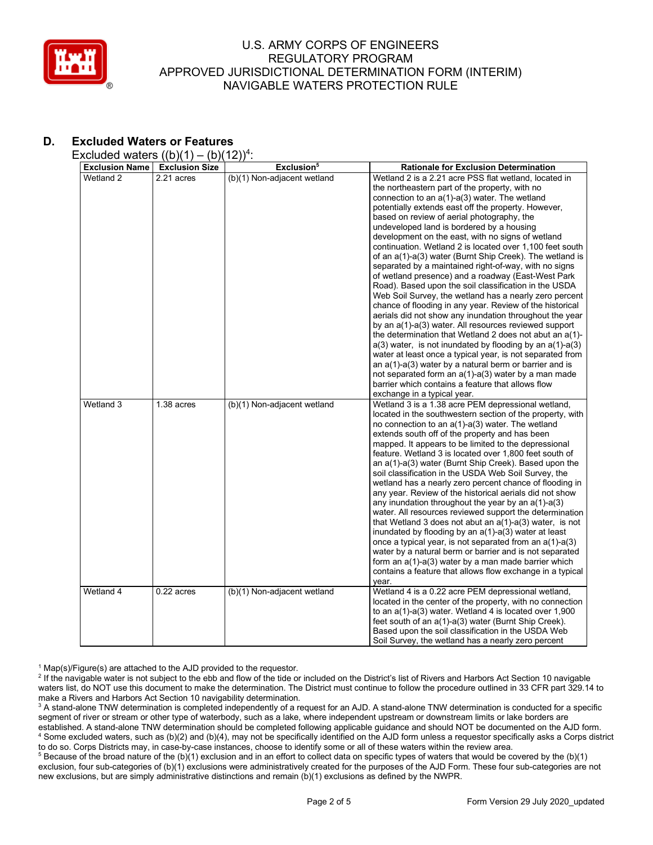

# **D. Excluded Waters or Features**

Excluded waters  $((b)(1) - (b)(12))^4$ :

| <b>Exclusion Name</b><br>Wetland 2 | $\sqrt{2}$<br><b>Exclusion Size</b><br>2.21 acres | $\cdot$ – $\prime\prime$ $\cdot$<br>Exclusion <sup>5</sup><br>(b)(1) Non-adjacent wetland | <b>Rationale for Exclusion Determination</b><br>Wetland 2 is a 2.21 acre PSS flat wetland, located in<br>the northeastern part of the property, with no<br>connection to an a(1)-a(3) water. The wetland<br>potentially extends east off the property. However,<br>based on review of aerial photography, the<br>undeveloped land is bordered by a housing<br>development on the east, with no signs of wetland<br>continuation. Wetland 2 is located over 1,100 feet south<br>of an a(1)-a(3) water (Burnt Ship Creek). The wetland is<br>separated by a maintained right-of-way, with no signs<br>of wetland presence) and a roadway (East-West Park<br>Road). Based upon the soil classification in the USDA<br>Web Soil Survey, the wetland has a nearly zero percent<br>chance of flooding in any year. Review of the historical<br>aerials did not show any inundation throughout the year<br>by an a(1)-a(3) water. All resources reviewed support<br>the determination that Wetland 2 does not abut an a(1)-<br>$a(3)$ water, is not inundated by flooding by an $a(1)-a(3)$<br>water at least once a typical year, is not separated from<br>an $a(1)$ - $a(3)$ water by a natural berm or barrier and is<br>not separated form an a(1)-a(3) water by a man made<br>barrier which contains a feature that allows flow |
|------------------------------------|---------------------------------------------------|-------------------------------------------------------------------------------------------|-------------------------------------------------------------------------------------------------------------------------------------------------------------------------------------------------------------------------------------------------------------------------------------------------------------------------------------------------------------------------------------------------------------------------------------------------------------------------------------------------------------------------------------------------------------------------------------------------------------------------------------------------------------------------------------------------------------------------------------------------------------------------------------------------------------------------------------------------------------------------------------------------------------------------------------------------------------------------------------------------------------------------------------------------------------------------------------------------------------------------------------------------------------------------------------------------------------------------------------------------------------------------------------------------------------------------------|
| Wetland 3                          | 1.38 acres                                        | (b)(1) Non-adjacent wetland                                                               | exchange in a typical year.<br>Wetland 3 is a 1.38 acre PEM depressional wetland,<br>located in the southwestern section of the property, with<br>no connection to an $a(1)$ - $a(3)$ water. The wetland<br>extends south off of the property and has been<br>mapped. It appears to be limited to the depressional<br>feature. Wetland 3 is located over 1,800 feet south of<br>an a(1)-a(3) water (Burnt Ship Creek). Based upon the<br>soil classification in the USDA Web Soil Survey, the<br>wetland has a nearly zero percent chance of flooding in<br>any year. Review of the historical aerials did not show<br>any inundation throughout the year by an $a(1)$ -a(3)<br>water. All resources reviewed support the determination<br>that Wetland 3 does not abut an $a(1)$ - $a(3)$ water, is not<br>inundated by flooding by an a(1)-a(3) water at least<br>once a typical year, is not separated from an a(1)-a(3)<br>water by a natural berm or barrier and is not separated<br>form an a(1)-a(3) water by a man made barrier which<br>contains a feature that allows flow exchange in a typical<br>year.                                                                                                                                                                                                           |
| Wetland 4                          | 0.22 acres                                        | (b)(1) Non-adjacent wetland                                                               | Wetland 4 is a 0.22 acre PEM depressional wetland,<br>located in the center of the property, with no connection<br>to an a(1)-a(3) water. Wetland 4 is located over 1,900<br>feet south of an a(1)-a(3) water (Burnt Ship Creek).<br>Based upon the soil classification in the USDA Web<br>Soil Survey, the wetland has a nearly zero percent                                                                                                                                                                                                                                                                                                                                                                                                                                                                                                                                                                                                                                                                                                                                                                                                                                                                                                                                                                                 |

 $1$  Map(s)/Figure(s) are attached to the AJD provided to the requestor.

<sup>2</sup> If the navigable water is not subject to the ebb and flow of the tide or included on the District's list of Rivers and Harbors Act Section 10 navigable waters list, do NOT use this document to make the determination. The District must continue to follow the procedure outlined in 33 CFR part 329.14 to make a Rivers and Harbors Act Section 10 navigability determination.

<sup>3</sup> A stand-alone TNW determination is completed independently of a request for an AJD. A stand-alone TNW determination is conducted for a specific segment of river or stream or other type of waterbody, such as a lake, where independent upstream or downstream limits or lake borders are established. A stand-alone TNW determination should be completed following applicable guidance and should NOT be documented on the AJD form. <sup>4</sup> Some excluded waters, such as (b)(2) and (b)(4), may not be specifically identified on the AJD form unless a requestor specifically asks a Corps district to do so. Corps Districts may, in case-by-case instances, choose to identify some or all of these waters within the review area.

<sup>5</sup> Because of the broad nature of the (b)(1) exclusion and in an effort to collect data on specific types of waters that would be covered by the (b)(1) exclusion, four sub-categories of (b)(1) exclusions were administratively created for the purposes of the AJD Form. These four sub-categories are not new exclusions, but are simply administrative distinctions and remain (b)(1) exclusions as defined by the NWPR.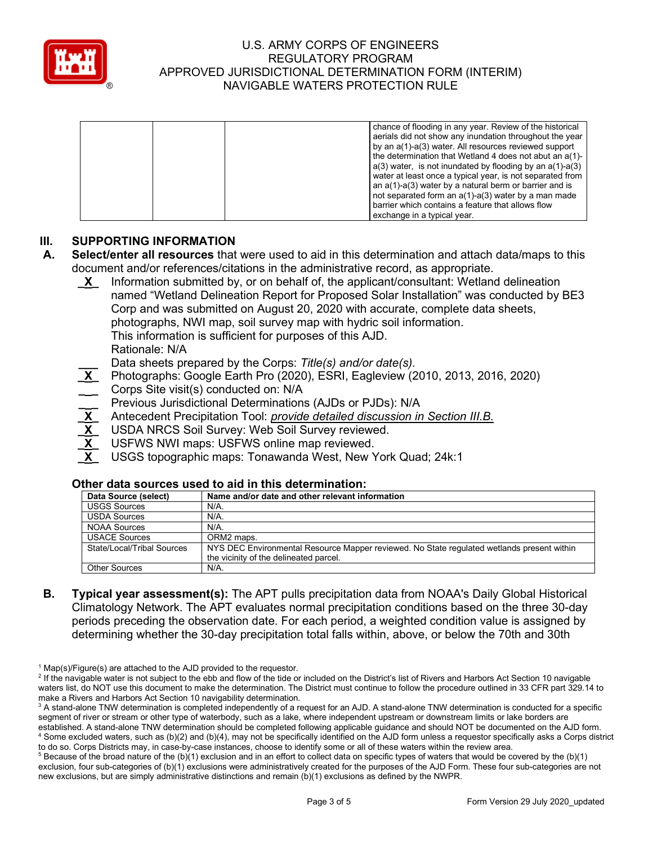

|  | chance of flooding in any year. Review of the historical<br>aerials did not show any inundation throughout the year<br>by an a(1)-a(3) water. All resources reviewed support<br>the determination that Wetland 4 does not abut an a(1)-<br>$a(3)$ water, is not inundated by flooding by an $a(1)$ -a(3)<br>water at least once a typical year, is not separated from<br>an a(1)-a(3) water by a natural berm or barrier and is<br>not separated form an a(1)-a(3) water by a man made<br>barrier which contains a feature that allows flow |
|--|---------------------------------------------------------------------------------------------------------------------------------------------------------------------------------------------------------------------------------------------------------------------------------------------------------------------------------------------------------------------------------------------------------------------------------------------------------------------------------------------------------------------------------------------|
|  | exchange in a typical year.                                                                                                                                                                                                                                                                                                                                                                                                                                                                                                                 |

# **III. SUPPORTING INFORMATION**

- **A. Select/enter all resources** that were used to aid in this determination and attach data/maps to this document and/or references/citations in the administrative record, as appropriate.
	- **\_X\_** Information submitted by, or on behalf of, the applicant/consultant: Wetland delineation named "Wetland Delineation Report for Proposed Solar Installation" was conducted by BE3 Corp and was submitted on August 20, 2020 with accurate, complete data sheets, photographs, NWI map, soil survey map with hydric soil information. This information is sufficient for purposes of this AJD. Rationale: N/A

**\_\_\_** Data sheets prepared by the Corps: *Title(s) and/or date(s).*

- **\_X\_** Photographs: Google Earth Pro (2020), ESRI, Eagleview (2010, 2013, 2016, 2020) Corps Site visit(s) conducted on: N/A
- **\_ \_** Previous Jurisdictional Determinations (AJDs or PJDs): N/A
- **\_X\_** Antecedent Precipitation Tool: *provide detailed discussion in Section III.B.*
- USDA NRCS Soil Survey: Web Soil Survey reviewed.
- USFWS NWI maps: USFWS online map reviewed.
- **\_X\_** USGS topographic maps: Tonawanda West, New York Quad; 24k:1

#### **Other data sources used to aid in this determination:**

| Data Source (select)       | Name and/or date and other relevant information                                            |  |  |  |
|----------------------------|--------------------------------------------------------------------------------------------|--|--|--|
| <b>USGS Sources</b>        | $N/A$ .                                                                                    |  |  |  |
| <b>USDA Sources</b>        | N/A.                                                                                       |  |  |  |
| NOAA Sources               | $N/A$ .                                                                                    |  |  |  |
| <b>USACE Sources</b>       | ORM2 maps.                                                                                 |  |  |  |
| State/Local/Tribal Sources | NYS DEC Environmental Resource Mapper reviewed. No State regulated wetlands present within |  |  |  |
|                            | the vicinity of the delineated parcel.                                                     |  |  |  |
| <b>Other Sources</b>       | $N/A$ .                                                                                    |  |  |  |

**B. Typical year assessment(s):** The APT pulls precipitation data from NOAA's Daily Global Historical Climatology Network. The APT evaluates normal precipitation conditions based on the three 30-day periods preceding the observation date. For each period, a weighted condition value is assigned by determining whether the 30-day precipitation total falls within, above, or below the 70th and 30th

 $1$  Map(s)/Figure(s) are attached to the AJD provided to the requestor.

<sup>&</sup>lt;sup>2</sup> If the navigable water is not subject to the ebb and flow of the tide or included on the District's list of Rivers and Harbors Act Section 10 navigable waters list, do NOT use this document to make the determination. The District must continue to follow the procedure outlined in 33 CFR part 329.14 to make a Rivers and Harbors Act Section 10 navigability determination.

<sup>&</sup>lt;sup>3</sup> A stand-alone TNW determination is completed independently of a request for an AJD. A stand-alone TNW determination is conducted for a specific segment of river or stream or other type of waterbody, such as a lake, where independent upstream or downstream limits or lake borders are established. A stand-alone TNW determination should be completed following applicable guidance and should NOT be documented on the AJD form. <sup>4</sup> Some excluded waters, such as (b)(2) and (b)(4), may not be specifically identified on the AJD form unless a requestor specifically asks a Corps district to do so. Corps Districts may, in case-by-case instances, choose to identify some or all of these waters within the review area.

 $5$  Because of the broad nature of the (b)(1) exclusion and in an effort to collect data on specific types of waters that would be covered by the (b)(1) exclusion, four sub-categories of (b)(1) exclusions were administratively created for the purposes of the AJD Form. These four sub-categories are not new exclusions, but are simply administrative distinctions and remain (b)(1) exclusions as defined by the NWPR.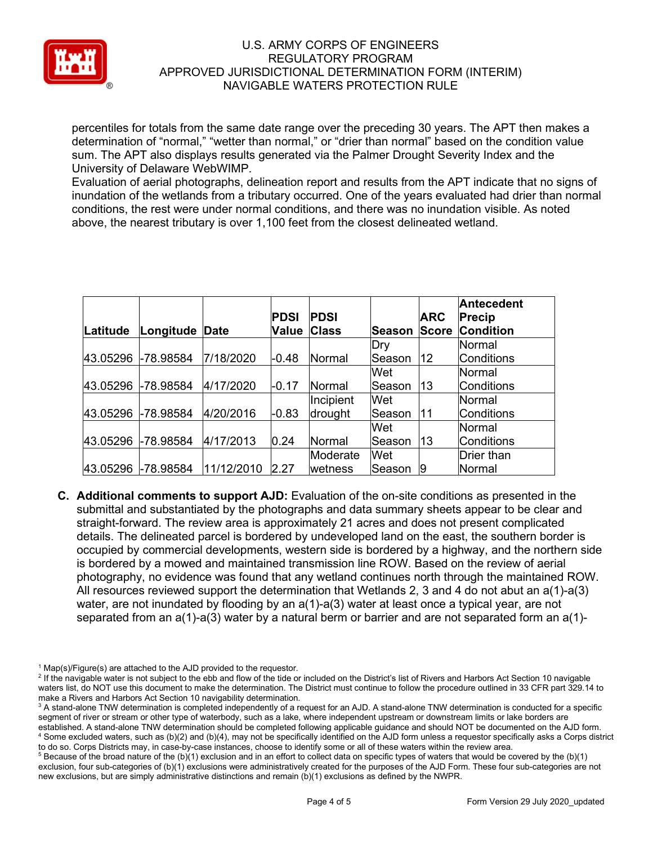

percentiles for totals from the same date range over the preceding 30 years. The APT then makes a determination of "normal," "wetter than normal," or "drier than normal" based on the condition value sum. The APT also displays results generated via the Palmer Drought Severity Index and the University of Delaware WebWIMP.

Evaluation of aerial photographs, delineation report and results from the APT indicate that no signs of inundation of the wetlands from a tributary occurred. One of the years evaluated had drier than normal conditions, the rest were under normal conditions, and there was no inundation visible. As noted above, the nearest tributary is over 1,100 feet from the closest delineated wetland.

|          |                    |            |              |               |         |              | <b>Antecedent</b> |
|----------|--------------------|------------|--------------|---------------|---------|--------------|-------------------|
|          |                    |            | <b>PDSI</b>  | <b>PDSI</b>   |         | <b>ARC</b>   | <b>Precip</b>     |
| Latitude | Longitude          | Date       | <b>Value</b> | <b>Class</b>  | lSeason | <b>Score</b> | <b>Condition</b>  |
|          |                    |            |              |               | Dry     |              | Normal            |
|          | 43.05296 -78.98584 | 7/18/2020  | $-0.48$      | Normal        | Season  | 12           | <b>Conditions</b> |
|          |                    |            |              |               | Wet     |              | Normal            |
| 43.05296 | -78.98584          | 4/17/2020  | $-0.17$      | <b>Normal</b> | lSeason | 13           | <b>Conditions</b> |
|          |                    |            |              | Incipient     | Wet     |              | Normal            |
| 43.05296 | $-78.98584$        | 4/20/2016  | $-0.83$      | drought       | lSeason | 11           | <b>Conditions</b> |
|          |                    |            |              |               | Wet     |              | Normal            |
| 43.05296 | -78.98584          | 4/17/2013  | 0.24         | Normal        | Season  | 13           | <b>Conditions</b> |
|          |                    |            |              | Moderate      | Wet     |              | <b>Drier than</b> |
| 43.05296 | -78.98584          | 11/12/2010 | 2.27         | wetness       | lSeason | 19           | Normal            |

**C. Additional comments to support AJD:** Evaluation of the on-site conditions as presented in the submittal and substantiated by the photographs and data summary sheets appear to be clear and straight-forward. The review area is approximately 21 acres and does not present complicated details. The delineated parcel is bordered by undeveloped land on the east, the southern border is occupied by commercial developments, western side is bordered by a highway, and the northern side is bordered by a mowed and maintained transmission line ROW. Based on the review of aerial photography, no evidence was found that any wetland continues north through the maintained ROW. All resources reviewed support the determination that Wetlands 2, 3 and 4 do not abut an  $a(1)$ -a(3) water, are not inundated by flooding by an a(1)-a(3) water at least once a typical year, are not separated from an  $a(1)-a(3)$  water by a natural berm or barrier and are not separated form an  $a(1)$ -

 $1$  Map(s)/Figure(s) are attached to the AJD provided to the requestor.

<sup>&</sup>lt;sup>2</sup> If the navigable water is not subject to the ebb and flow of the tide or included on the District's list of Rivers and Harbors Act Section 10 navigable waters list, do NOT use this document to make the determination. The District must continue to follow the procedure outlined in 33 CFR part 329.14 to make a Rivers and Harbors Act Section 10 navigability determination.

<sup>&</sup>lt;sup>3</sup> A stand-alone TNW determination is completed independently of a request for an AJD. A stand-alone TNW determination is conducted for a specific segment of river or stream or other type of waterbody, such as a lake, where independent upstream or downstream limits or lake borders are established. A stand-alone TNW determination should be completed following applicable guidance and should NOT be documented on the AJD form. <sup>4</sup> Some excluded waters, such as (b)(2) and (b)(4), may not be specifically identified on the AJD form unless a requestor specifically asks a Corps district to do so. Corps Districts may, in case-by-case instances, choose to identify some or all of these waters within the review area.

 $5$  Because of the broad nature of the (b)(1) exclusion and in an effort to collect data on specific types of waters that would be covered by the (b)(1) exclusion, four sub-categories of (b)(1) exclusions were administratively created for the purposes of the AJD Form. These four sub-categories are not new exclusions, but are simply administrative distinctions and remain (b)(1) exclusions as defined by the NWPR.